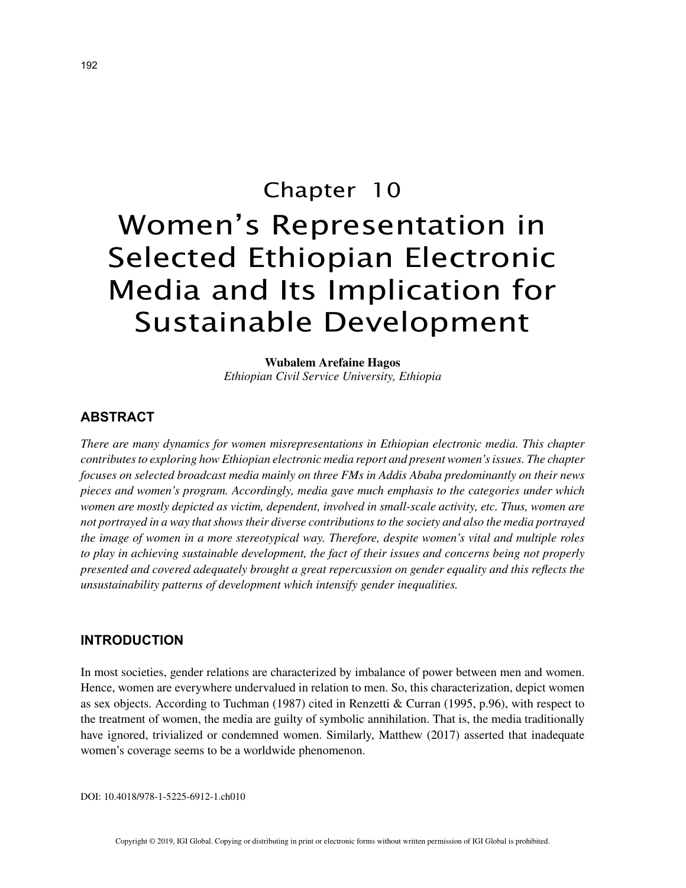# Chapter 10 Women's Representation in Selected Ethiopian Electronic Media and Its Implication for Sustainable Development

**Wubalem Arefaine Hagos** *Ethiopian Civil Service University, Ethiopia*

## **ABSTRACT**

*There are many dynamics for women misrepresentations in Ethiopian electronic media. This chapter contributes to exploring how Ethiopian electronic media report and present women's issues. The chapter focuses on selected broadcast media mainly on three FMs in Addis Ababa predominantly on their news pieces and women's program. Accordingly, media gave much emphasis to the categories under which women are mostly depicted as victim, dependent, involved in small-scale activity, etc. Thus, women are not portrayed in a way that shows their diverse contributions to the society and also the media portrayed the image of women in a more stereotypical way. Therefore, despite women's vital and multiple roles to play in achieving sustainable development, the fact of their issues and concerns being not properly presented and covered adequately brought a great repercussion on gender equality and this reflects the unsustainability patterns of development which intensify gender inequalities.*

#### **INTRODUCTION**

In most societies, gender relations are characterized by imbalance of power between men and women. Hence, women are everywhere undervalued in relation to men. So, this characterization, depict women as sex objects. According to Tuchman (1987) cited in Renzetti & Curran (1995, p.96), with respect to the treatment of women, the media are guilty of symbolic annihilation. That is, the media traditionally have ignored, trivialized or condemned women. Similarly, Matthew (2017) asserted that inadequate women's coverage seems to be a worldwide phenomenon.

DOI: 10.4018/978-1-5225-6912-1.ch010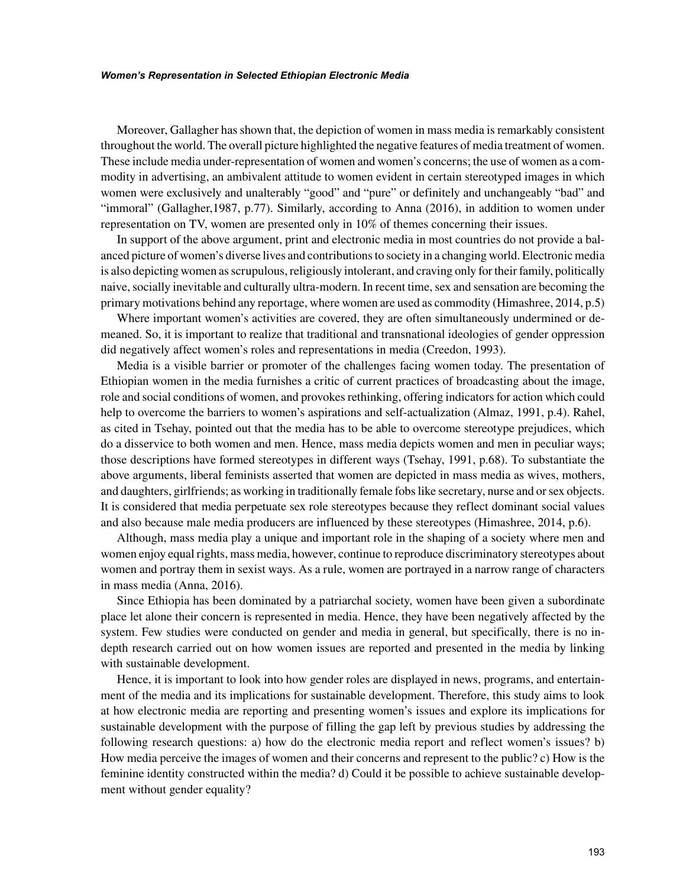Moreover, Gallagher has shown that, the depiction of women in mass media is remarkably consistent throughout the world. The overall picture highlighted the negative features of media treatment of women. These include media under-representation of women and women's concerns; the use of women as a commodity in advertising, an ambivalent attitude to women evident in certain stereotyped images in which women were exclusively and unalterably "good" and "pure" or definitely and unchangeably "bad" and "immoral" (Gallagher,1987, p.77). Similarly, according to Anna (2016), in addition to women under representation on TV, women are presented only in 10% of themes concerning their issues.

In support of the above argument, print and electronic media in most countries do not provide a balanced picture of women's diverse lives and contributions to society in a changing world. Electronic media is also depicting women as scrupulous, religiously intolerant, and craving only for their family, politically naive, socially inevitable and culturally ultra-modern. In recent time, sex and sensation are becoming the primary motivations behind any reportage, where women are used as commodity (Himashree, 2014, p.5)

Where important women's activities are covered, they are often simultaneously undermined or demeaned. So, it is important to realize that traditional and transnational ideologies of gender oppression did negatively affect women's roles and representations in media (Creedon, 1993).

Media is a visible barrier or promoter of the challenges facing women today. The presentation of Ethiopian women in the media furnishes a critic of current practices of broadcasting about the image, role and social conditions of women, and provokes rethinking, offering indicators for action which could help to overcome the barriers to women's aspirations and self-actualization (Almaz, 1991, p.4). Rahel, as cited in Tsehay, pointed out that the media has to be able to overcome stereotype prejudices, which do a disservice to both women and men. Hence, mass media depicts women and men in peculiar ways; those descriptions have formed stereotypes in different ways (Tsehay, 1991, p.68). To substantiate the above arguments, liberal feminists asserted that women are depicted in mass media as wives, mothers, and daughters, girlfriends; as working in traditionally female fobs like secretary, nurse and or sex objects. It is considered that media perpetuate sex role stereotypes because they reflect dominant social values and also because male media producers are influenced by these stereotypes (Himashree, 2014, p.6).

Although, mass media play a unique and important role in the shaping of a society where men and women enjoy equal rights, mass media, however, continue to reproduce discriminatory stereotypes about women and portray them in sexist ways. As a rule, women are portrayed in a narrow range of characters in mass media (Anna, 2016).

Since Ethiopia has been dominated by a patriarchal society, women have been given a subordinate place let alone their concern is represented in media. Hence, they have been negatively affected by the system. Few studies were conducted on gender and media in general, but specifically, there is no indepth research carried out on how women issues are reported and presented in the media by linking with sustainable development.

Hence, it is important to look into how gender roles are displayed in news, programs, and entertainment of the media and its implications for sustainable development. Therefore, this study aims to look at how electronic media are reporting and presenting women's issues and explore its implications for sustainable development with the purpose of filling the gap left by previous studies by addressing the following research questions: a) how do the electronic media report and reflect women's issues? b) How media perceive the images of women and their concerns and represent to the public? c) How is the feminine identity constructed within the media? d) Could it be possible to achieve sustainable development without gender equality?